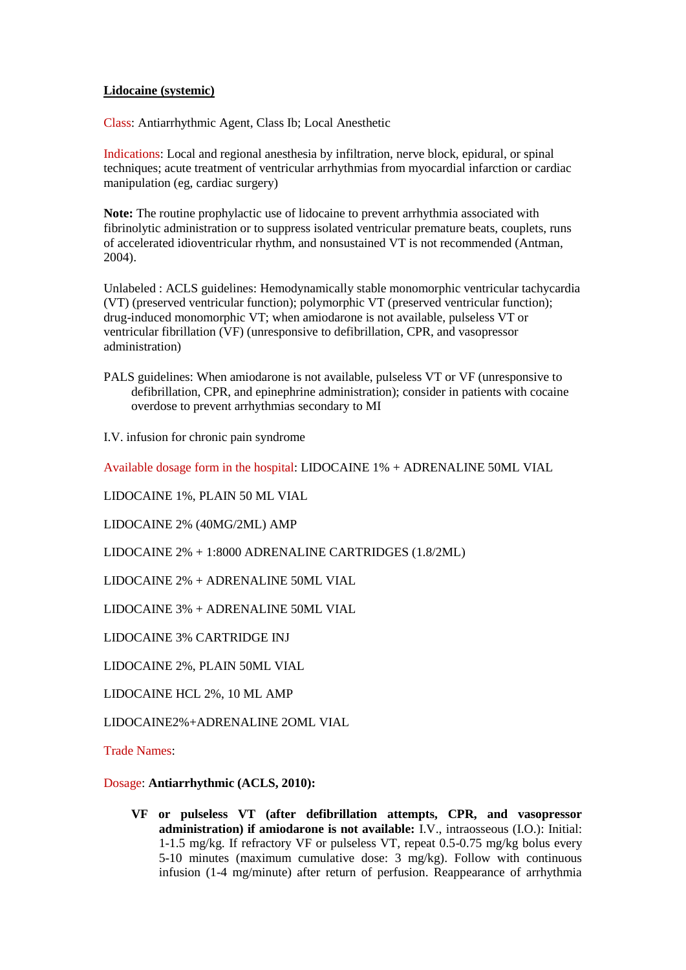## **Lidocaine (systemic)**

Class: Antiarrhythmic Agent, Class Ib; Local Anesthetic

Indications: Local and regional anesthesia by infiltration, nerve block, epidural, or spinal techniques; acute treatment of ventricular arrhythmias from myocardial infarction or cardiac manipulation (eg, cardiac surgery)

**Note:** The routine prophylactic use of lidocaine to prevent arrhythmia associated with fibrinolytic administration or to suppress isolated ventricular premature beats, couplets, runs of accelerated idioventricular rhythm, and nonsustained VT is not recommended (Antman, 2004).

Unlabeled : ACLS guidelines: Hemodynamically stable monomorphic ventricular tachycardia (VT) (preserved ventricular function); polymorphic VT (preserved ventricular function); drug-induced monomorphic VT; when amiodarone is not available, pulseless VT or ventricular fibrillation (VF) (unresponsive to defibrillation, CPR, and vasopressor administration)

PALS guidelines: When amiodarone is not available, pulseless VT or VF (unresponsive to defibrillation, CPR, and epinephrine administration); consider in patients with cocaine overdose to prevent arrhythmias secondary to MI

I.V. infusion for chronic pain syndrome

Available dosage form in the hospital: LIDOCAINE 1% + ADRENALINE 50ML VIAL

LIDOCAINE 1%, PLAIN 50 ML VIAL

LIDOCAINE 2% (40MG/2ML) AMP

LIDOCAINE 2% + 1:8000 ADRENALINE CARTRIDGES (1.8/2ML)

LIDOCAINE 2% + ADRENALINE 50ML VIAL

LIDOCAINE 3% + ADRENALINE 50ML VIAL

LIDOCAINE 3% CARTRIDGE INJ

LIDOCAINE 2%, PLAIN 50ML VIAL

LIDOCAINE HCL 2%, 10 ML AMP

LIDOCAINE2%+ADRENALINE 2OML VIAL

Trade Names:

Dosage: **Antiarrhythmic (ACLS, 2010):**

**VF or pulseless VT (after defibrillation attempts, CPR, and vasopressor administration) if amiodarone is not available:** I.V., intraosseous (I.O.): Initial: 1-1.5 mg/kg. If refractory VF or pulseless VT, repeat 0.5-0.75 mg/kg bolus every 5-10 minutes (maximum cumulative dose: 3 mg/kg). Follow with continuous infusion (1-4 mg/minute) after return of perfusion. Reappearance of arrhythmia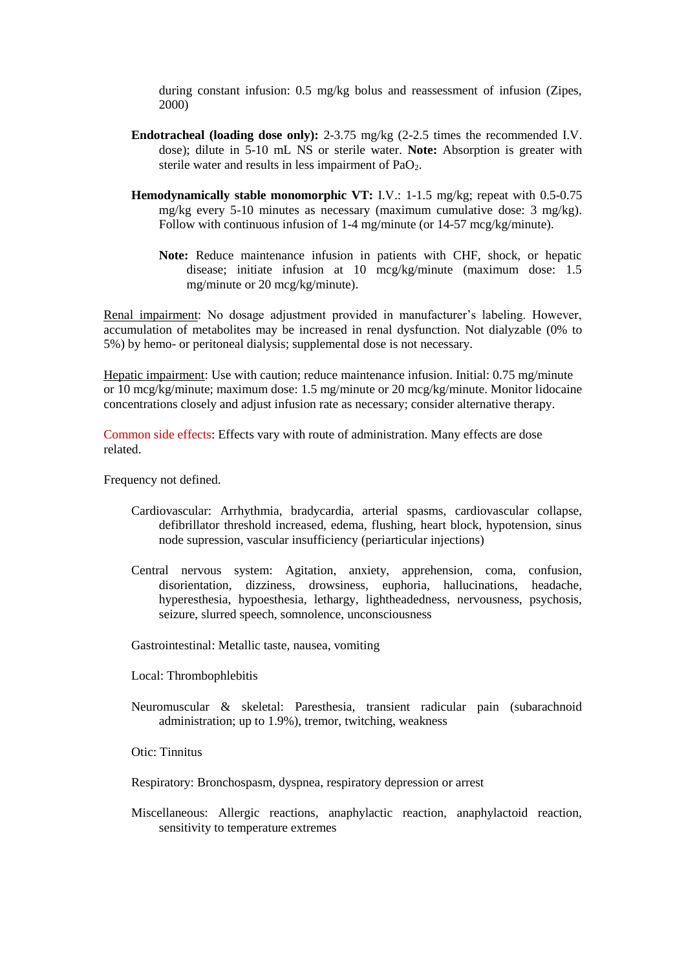during constant infusion: 0.5 mg/kg bolus and reassessment of infusion (Zipes, 2000)

- **Endotracheal (loading dose only):** 2-3.75 mg/kg (2-2.5 times the recommended I.V. dose); dilute in 5-10 mL NS or sterile water. **Note:** Absorption is greater with sterile water and results in less impairment of  $PaO<sub>2</sub>$ .
- **Hemodynamically stable monomorphic VT:** I.V.: 1-1.5 mg/kg; repeat with 0.5-0.75 mg/kg every 5-10 minutes as necessary (maximum cumulative dose: 3 mg/kg). Follow with continuous infusion of 1-4 mg/minute (or 14-57 mcg/kg/minute).
	- **Note:** Reduce maintenance infusion in patients with CHF, shock, or hepatic disease; initiate infusion at 10 mcg/kg/minute (maximum dose: 1.5 mg/minute or 20 mcg/kg/minute).

Renal impairment: No dosage adjustment provided in manufacturer's labeling. However, accumulation of metabolites may be increased in renal dysfunction. Not dialyzable (0% to 5%) by hemo- or peritoneal dialysis; supplemental dose is not necessary.

Hepatic impairment: Use with caution; reduce maintenance infusion. Initial: 0.75 mg/minute or 10 mcg/kg/minute; maximum dose: 1.5 mg/minute or 20 mcg/kg/minute. Monitor lidocaine concentrations closely and adjust infusion rate as necessary; consider alternative therapy.

Common side effects: Effects vary with route of administration. Many effects are dose related.

Frequency not defined.

- Cardiovascular: Arrhythmia, bradycardia, arterial spasms, cardiovascular collapse, defibrillator threshold increased, edema, flushing, heart block, hypotension, sinus node supression, vascular insufficiency (periarticular injections)
- Central nervous system: Agitation, anxiety, apprehension, coma, confusion, disorientation, dizziness, drowsiness, euphoria, hallucinations, headache, hyperesthesia, hypoesthesia, lethargy, lightheadedness, nervousness, psychosis, seizure, slurred speech, somnolence, unconsciousness

Gastrointestinal: Metallic taste, nausea, vomiting

Local: Thrombophlebitis

Neuromuscular & skeletal: Paresthesia, transient radicular pain (subarachnoid administration; up to 1.9%), tremor, twitching, weakness

Otic: Tinnitus

Respiratory: Bronchospasm, dyspnea, respiratory depression or arrest

Miscellaneous: Allergic reactions, anaphylactic reaction, anaphylactoid reaction, sensitivity to temperature extremes